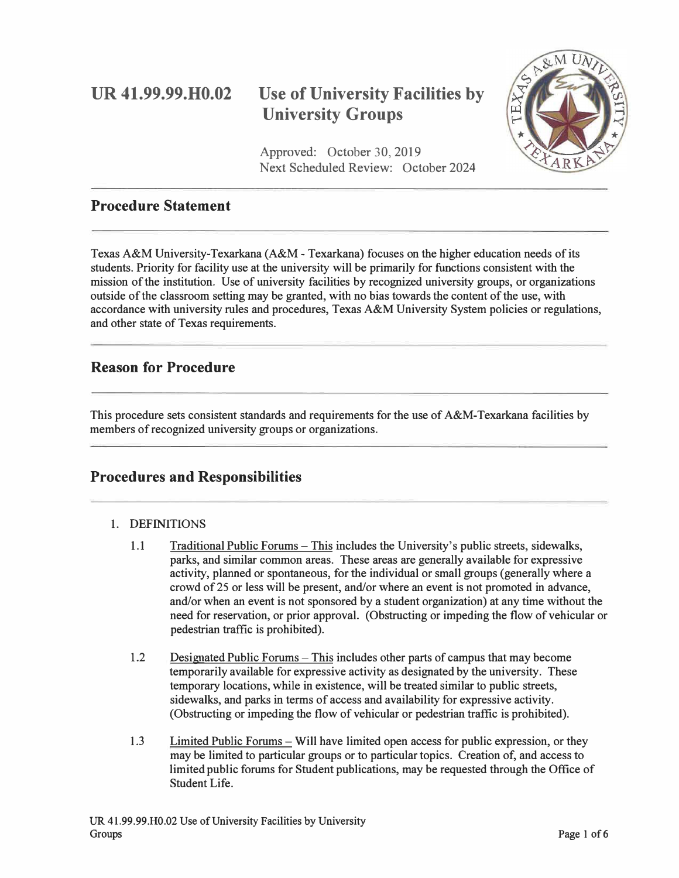## **UR 41.99.99.H0.02**

# **Use of University Facilities by University Groups**

Approved: October 30, 2019 Next Scheduled Review: October 2024



## **Procedure Statement**

Texas A&M University-Texarkana (A&M - Texarkana) focuses on the higher education needs of its students. Priority for facility use at the university will be primarily for functions consistent with the mission of the institution. Use of university facilities by recognized university groups, or organizations outside of the classroom setting may be granted, with no bias towards the content of the use, with accordance with university rules and procedures, Texas A&M University System policies or regulations, and other state of Texas requirements.

## **Reason for Procedure**

This procedure sets consistent standards and requirements for the use of A&M-Texarkana facilities by members of recognized university groups or organizations.

## **Procedures and Responsibilities**

#### 1. DEFINITIONS

- 1.1 Traditional Public Forums-This includes the University's public streets, sidewalks, parks, and similar common areas. These areas are generally available for expressive activity, planned or spontaneous, for the individual or small groups (generally where a crowd of 25 or less will be present, and/or where an event is not promoted in advance, and/or when an event is not sponsored by a student organization) at any time without the need for reservation, or prior approval. (Obstructing or impeding the flow of vehicular or pedestrian traffic is prohibited).
- 1.2 Designated Public Forums-This includes other parts of campus that may become temporarily available for expressive activity as designated by the university. These temporary locations, while in existence, will be treated similar to public streets, sidewalks, and parks in terms of access and availability for expressive activity. (Obstructing or impeding the flow of vehicular or pedestrian traffic is prohibited).
- 1.3 Limited Public Forums- Will have limited open access for public expression, or they may be limited to particular groups or to particular topics. Creation of, and access to limited public forums for Student publications, may be requested through the Office of Student Life.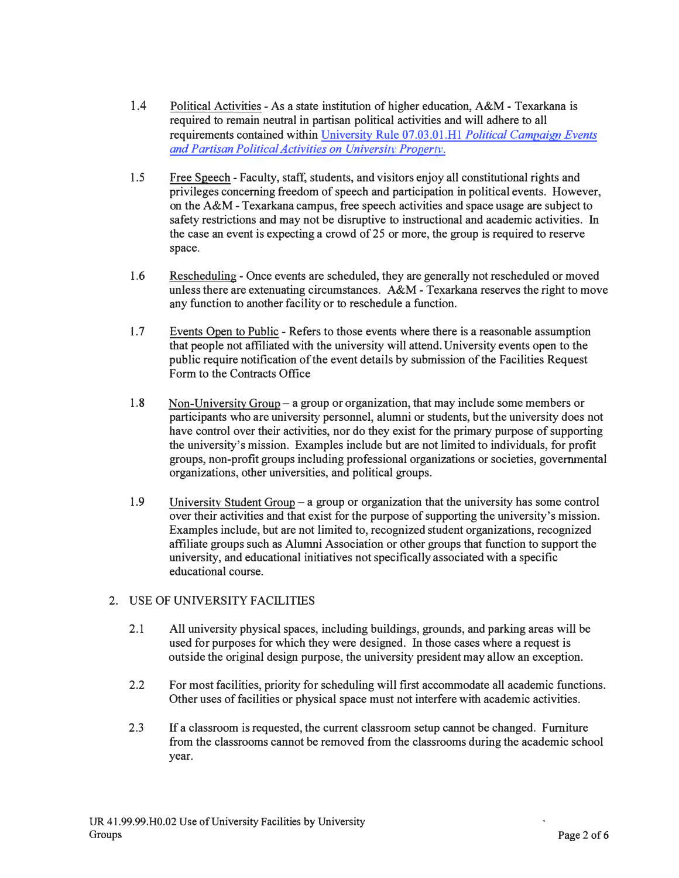- 1.4 Political Activities - As a state institution of higher education, A&M - Texarkana is required to remain neutral in partisan political activities and will adhere to all requirements contained within University Rule 07.03.01.H1 *Political Campaign Events and Partisan Political Activities on University Property.*
- 1.5 Free Speech -Faculty, staff, students, and visitors enjoy all constitutional rights and privileges concerning freedom of speech and participation in political events. However, on the A&M - Texarkana campus, free speech activities and space usage are subject to safety restrictions and may not be disruptive to instructional and academic activities. In the case an event is expecting a crowd of25 or more, the group is required to reserve space.
- 1.6 Rescheduling -Once events are scheduled, they are generally not rescheduled or moved unless there are extenuating circumstances.  $A\&M$  - Texarkana reserves the right to move any function to another facility or to reschedule a function.
- 1.7 Events Open to Public - Refers to those events where there is a reasonable assumption that people not affiliated with the university will attend.University events open to the public require notification of the event details by submission of the Facilities Request Form to the Contracts Office
- 1.8 Non-University Group - a group or organization, that may include some members or participants who are university personnel, alumni or students, but the university does not have control over their activities, nor do they exist for the primary purpose of supporting the university's mission. Examples include but are not limited to individuals, for profit groups, non-profit groups including professional organizations or societies, governmental organizations, other universities, and political groups.
- 1.9 University Student Group  $-a$  group or organization that the university has some control over their activities and that exist for the purpose of supporting the university's mission. Examples include, but are not limited to, recognized student organizations, recognized affiliate groups such as Alumni Association or other groups that function to support the university, and educational initiatives not specifically associated with a specific educational course.

#### 2. USE OF UNNERSITY FACILITIES

- 2.1 All university physical spaces, including buildings, grounds, and parking areas will be used for purposes for which they were designed. In those cases where a request is outside the original design purpose, the university president may allow an exception.
- 2.2 For most facilities, priority for scheduling will first accommodate all academic functions. Other uses of facilities or physical space must not interfere with academic activities.
- 2.3 If a classroom is requested, the current classroom setup cannot be changed. Furniture from the classrooms cannot be removed from the classrooms during the academic school year.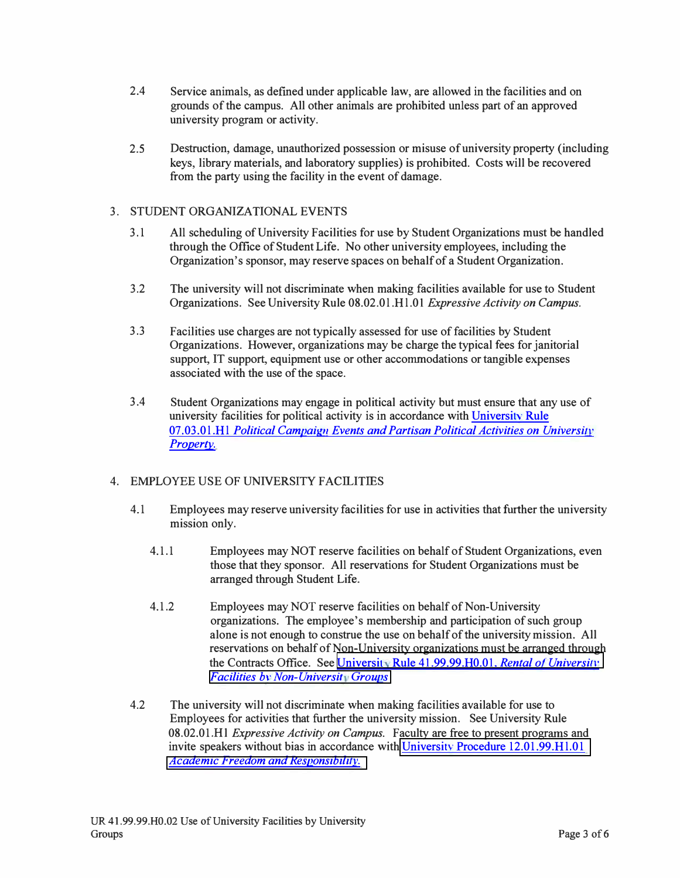- 2.4 Service animals, as defined under applicable law, are allowed in the facilities and on grounds of the campus. All other animals are prohibited unless part of an approved university program or activity.
- 2.5 Destruction, damage, unauthorized possession or misuse of university property (including keys, library materials, and laboratory supplies) is prohibited. Costs will be recovered from the party using the facility in the event of damage.

#### 3. STUDENT ORGANIZATIONAL EVENTS

- 3 .1 All scheduling of University Facilities for use by Student Organizations must be handled through the Office of Student Life. No other university employees, including the Organization's sponsor, may reserve spaces on behalf of a Student Organization.
- 3.2 The university will not discriminate when making facilities available for use to Student Organizations. See University Rule 08.02.0 l .Hl .01 *Expressive Activity on Campus.*
- 3.3 Facilities use charges are not typically assessed for use of facilities by Student Organizations. However, organizations may be charge the typical fees for janitorial support, IT support, equipment use or other accommodations or tangible expenses associated with the use of the space.
- 3 .4 Student Organizations may engage in political activity but must ensure that any use of university facilities for political activity is in accordance with University Rule 07.03.01 **.H1** *Political Campaign Events and Partisan Political Activities on University [Property.](https://tamut.edu/About/Administration/About/Rules/07-03-01-H1.pdf)*

#### 4. EMPLOYEE USE OF UNIVERSITY FACILITIES

- 4.1 Employees may reserve university facilities for use in activities that further the university mission only.
	- 4.1.1 Employees may NOT reserve facilities on behalf of Student Organizations, even those that they sponsor. All reservations for Student Organizations must be arranged through Student Life.
	- 4.1.2 Employees may NOT reserve facilities on behalf of Non-University organizations. The employee's membership and participation of such group alone is not enough to construe the use on behalf of the university mission. All reservations on behalf of Non-University organizations must be arranged through the Contracts Office. See University Rule 41.99.99.H0.01. *Rental of University [Facilities bv Non-Universit Groups](https://tamut.edu/About/Administration/About/Rules/41-99-99-H0-01.pdf)*
- 4.2 The university will not discriminate when making facilities available for use to Employees for activities that further the university mission. See University Rule 08.02.01.Hl *Expressive Activity on Campus.* Faculty are free to present programs and invite speakers without bias in accordance with University Procedure 12.01.99.H1.01 *Academic Freedom and Responsibility.*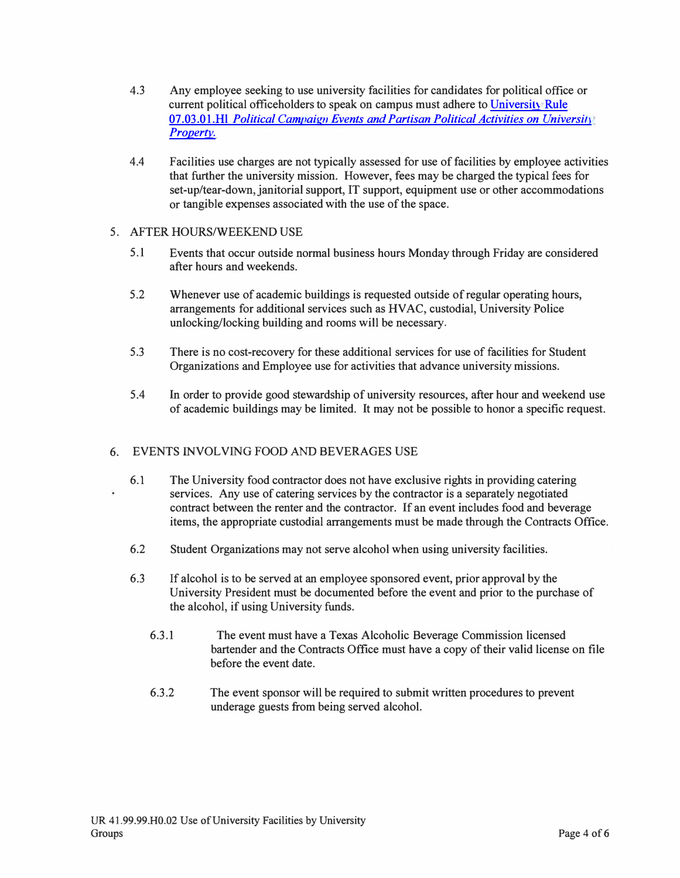- 4.3 Any employee seeking to use university facilities for candidates for political office or current political officeholders to speak on campus must adhere to University Rule 07.03.01.Hl *Political Campaign Events and Partisan Political Activities on University [Property.](https://tamut.edu/About/Administration/About/Rules/07-03-01-H1.pdf)*
- 4.4 Facilities use charges are not typically assessed for use of facilities by employee activities that further the university mission. However, fees may be charged the typical fees for set-up/tear-down, janitorial support, IT support, equipment use or other accommodations or tangible expenses associated with the use of the space.

#### 5. AFTER HOURS/WEEKEND USE

- 5. I Events that occur outside normal business hours Monday through Friday are considered after hours and weekends.
- 5 .2 Whenever use of academic buildings is requested outside of regular operating hours, arrangements for additional services such as HV AC, custodial, University Police unlocking/locking building and rooms will be necessary.
- 5.3 There is no cost-recovery for these additional services for use of facilities for Student Organizations and Employee use for activities that advance university missions.
- 5.4 In order to provide good stewardship of university resources, after hour and weekend use of academic buildings may be limited. It may not be possible to honor a specific request.

#### 6. EVENTS INVOLVING FOOD AND BEVERAGES USE

- 6.1 The University food contractor does not have exclusive rights in providing catering services. Any use of catering services by the contractor is a separately negotiated contract between the renter and the contractor. If an event includes food and beverage items, the appropriate custodial arrangements must be made through the Contracts Office.
	- 6.2 Student Organizations may not serve alcohol when using university facilities.
	- 6.3 If alcohol is to be served at an employee sponsored event, prior approval by the University President must be documented before the event and prior to the purchase of the alcohol, if using University funds.
		- 6.3 .1 The event must have a Texas Alcoholic Beverage Commission licensed bartender and the Contracts Office must have a copy of their valid license on file before the event date.
		- 6.3.2 The event sponsor will be required to submit written procedures to prevent underage guests from being served alcohol.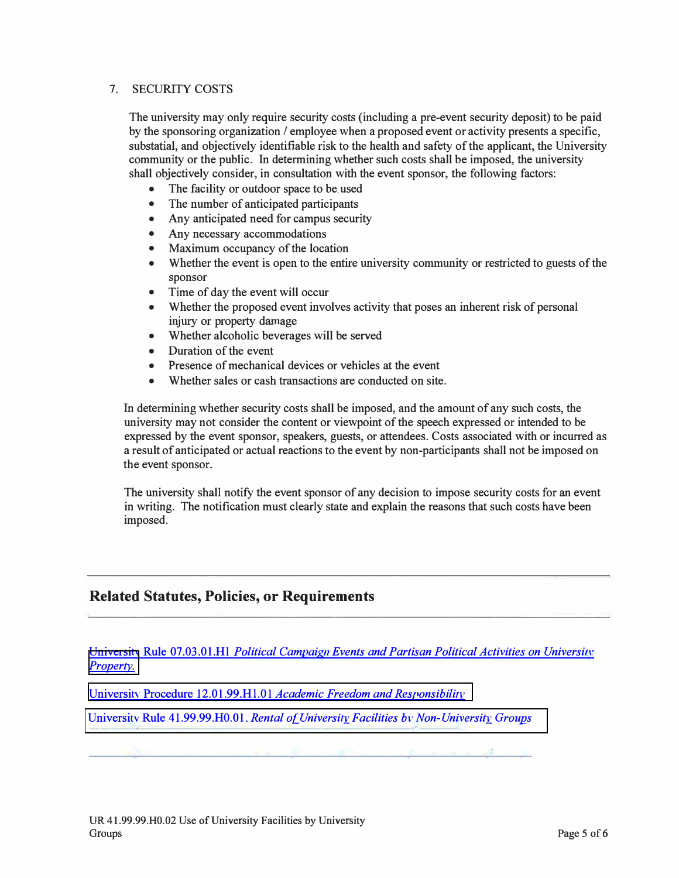#### 7. SECURJTY COSTS

The university may only require security costs (including a pre-event security deposit) to be paid by the sponsoring organization / employee when a proposed event or activity presents a specific, substatial, and objectively identifiable risk to the health and safety of the applicant, the University community or the public. In determining whether such costs shall be imposed, the university shall objectively consider, in consultation with the event sponsor, the following factors:

- The facility or outdoor space to be used
- The number of anticipated participants
- Any anticipated need for campus security
- Any necessary accommodations
- Maximum occupancy of the location
- Whether the event is open to the entire university community or restricted to guests of the sponsor
- Time of day the event will occur
- Whether the proposed event involves activity that poses an inherent risk of personal injury or property damage
- Whether alcoholic beverages will be served
- Duration of the event
- Presence of mechanical devices or vehicles at the event
- Whether sales or cash transactions are conducted on site.

In determining whether security costs shall be imposed, and the amount of any such costs, the university may not consider the content or viewpoint of the speech expressed or intended to be expressed by the event sponsor, speakers, guests, or attendees. Costs associated with or incurred as a result of anticipated or actual reactions to the event by non-participants shall not be imposed on the event sponsor.

The university shall notify the event sponsor of any decision to impose security costs for an event in writing. The notification must clearly state and explain the reasons that such costs have been imposed.

## **Related Statutes, Policies, or Requirements**

Universitv Rule 07.03.01.Hl *Political Campaign Events and Partisan [Political Activities on Universi11·](https://tamut.edu/About/Administration/About/Rules/07-03-01-H1.pdf)  [Property.](https://tamut.edu/About/Administration/About/Rules/07-03-01-H1.pdf)*

Universitv Procedure 12.01.99.Hl.01 *[Academic Freedom and](https://tamut.edu/About/Administration/About/Rules/12-01-99-H1-01.pdf) Responsibililv*

Universitv Rule 41.99.99.H0.01. *[Rental of University Facilities bv Non-University Groups](https://tamut.edu/About/Administration/About/Rules/41-99-99-H0-01.pdf)*

*T*